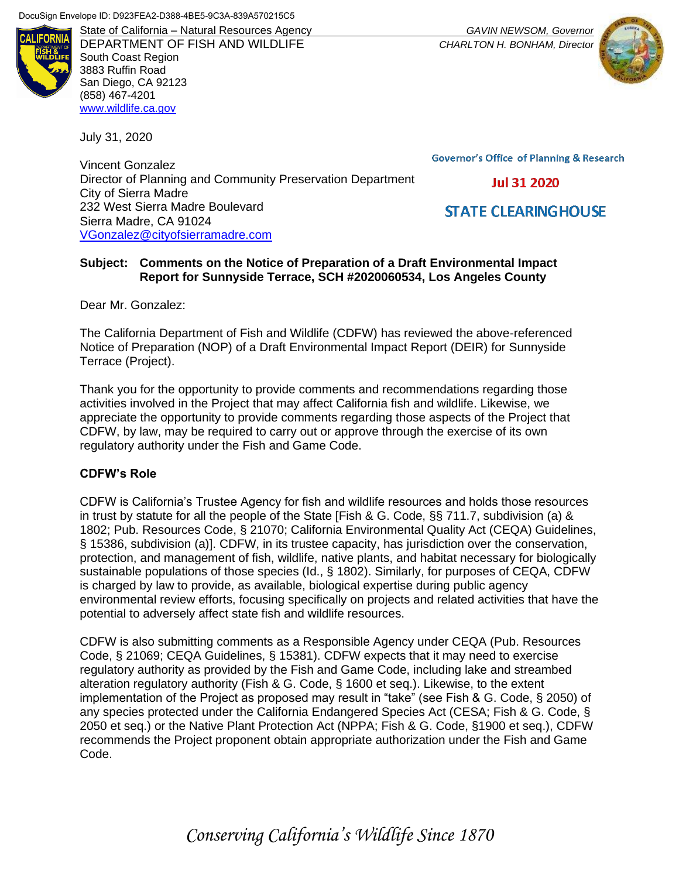

DEPARTMENT OF FISH AND WILDLIFE *CHARLTON H. BONHAM, Director* South Coast Region 3883 Ruffin Road San Diego, CA 92123 (858) 467-4201 [www.wildlife.ca.gov](file:///C:/Users/Jamie/Desktop/www.wildlife.ca.gov)

July 31, 2020

Vincent Gonzalez Director of Planning and Community Preservation Department City of Sierra Madre 232 West Sierra Madre Boulevard Sierra Madre, CA 91024 [VGonzalez@cityofsierramadre.com](mailto:VGonzalez@cityofsierramadre.com)

State of California – Natural Resources Agency *GAVIN NEWSOM, Governor*



**Governor's Office of Planning & Research** 

**Jul 31 2020** 

**STATE CLEARING HOUSE** 

#### **Subject: Comments on the Notice of Preparation of a Draft Environmental Impact Report for Sunnyside Terrace, SCH #2020060534, Los Angeles County**

Dear Mr. Gonzalez:

The California Department of Fish and Wildlife (CDFW) has reviewed the above-referenced Notice of Preparation (NOP) of a Draft Environmental Impact Report (DEIR) for Sunnyside Terrace (Project).

Thank you for the opportunity to provide comments and recommendations regarding those activities involved in the Project that may affect California fish and wildlife. Likewise, we appreciate the opportunity to provide comments regarding those aspects of the Project that CDFW, by law, may be required to carry out or approve through the exercise of its own regulatory authority under the Fish and Game Code.

### **CDFW's Role**

CDFW is California's Trustee Agency for fish and wildlife resources and holds those resources in trust by statute for all the people of the State [Fish & G. Code, §§ 711.7, subdivision (a) & 1802; Pub. Resources Code, § 21070; California Environmental Quality Act (CEQA) Guidelines, § 15386, subdivision (a)]. CDFW, in its trustee capacity, has jurisdiction over the conservation, protection, and management of fish, wildlife, native plants, and habitat necessary for biologically sustainable populations of those species (Id., § 1802). Similarly, for purposes of CEQA, CDFW is charged by law to provide, as available, biological expertise during public agency environmental review efforts, focusing specifically on projects and related activities that have the potential to adversely affect state fish and wildlife resources.

CDFW is also submitting comments as a Responsible Agency under CEQA (Pub. Resources Code, § 21069; CEQA Guidelines, § 15381). CDFW expects that it may need to exercise regulatory authority as provided by the Fish and Game Code, including lake and streambed alteration regulatory authority (Fish & G. Code, § 1600 et seq.). Likewise, to the extent implementation of the Project as proposed may result in "take" (see Fish & G. Code, § 2050) of any species protected under the California Endangered Species Act (CESA; Fish & G. Code, § 2050 et seq.) or the Native Plant Protection Act (NPPA; Fish & G. Code, §1900 et seq.), CDFW recommends the Project proponent obtain appropriate authorization under the Fish and Game Code.

*Conserving California's Wildlife Since 1870*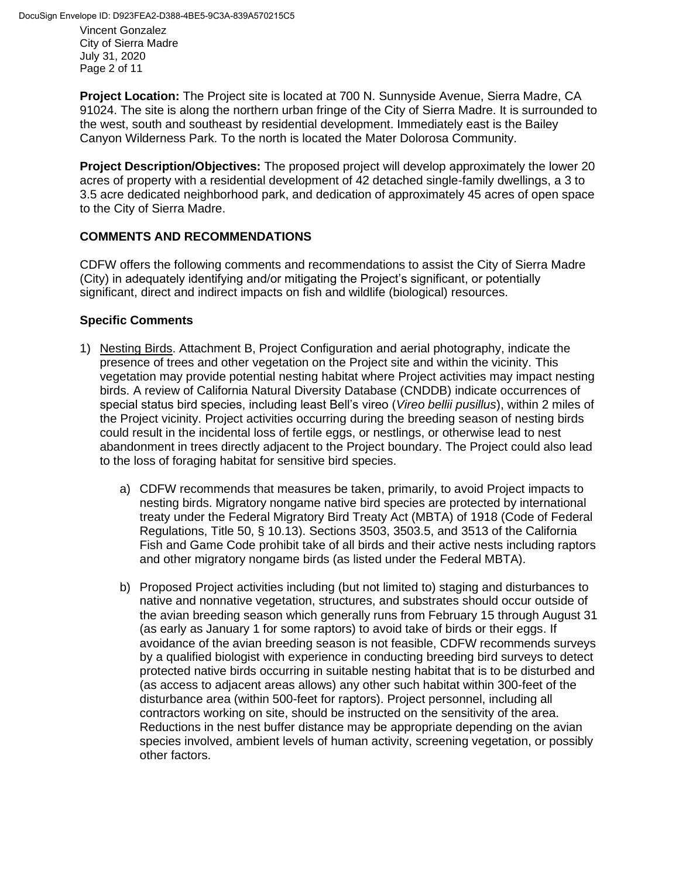DocuSign Envelope ID: D923FEA2-D388-4BE5-9C3A-839A570215C5

Vincent Gonzalez City of Sierra Madre July 31, 2020 Page 2 of 11

**Project Location:** The Project site is located at 700 N. Sunnyside Avenue, Sierra Madre, CA 91024. The site is along the northern urban fringe of the City of Sierra Madre. It is surrounded to the west, south and southeast by residential development. Immediately east is the Bailey Canyon Wilderness Park. To the north is located the Mater Dolorosa Community.

**Project Description/Objectives:** The proposed project will develop approximately the lower 20 acres of property with a residential development of 42 detached single-family dwellings, a 3 to 3.5 acre dedicated neighborhood park, and dedication of approximately 45 acres of open space to the City of Sierra Madre.

# **COMMENTS AND RECOMMENDATIONS**

CDFW offers the following comments and recommendations to assist the City of Sierra Madre (City) in adequately identifying and/or mitigating the Project's significant, or potentially significant, direct and indirect impacts on fish and wildlife (biological) resources.

# **Specific Comments**

- 1) Nesting Birds. Attachment B, Project Configuration and aerial photography, indicate the presence of trees and other vegetation on the Project site and within the vicinity. This vegetation may provide potential nesting habitat where Project activities may impact nesting birds. A review of California Natural Diversity Database (CNDDB) indicate occurrences of special status bird species, including least Bell's vireo (*Vireo bellii pusillus*), within 2 miles of the Project vicinity. Project activities occurring during the breeding season of nesting birds could result in the incidental loss of fertile eggs, or nestlings, or otherwise lead to nest abandonment in trees directly adjacent to the Project boundary. The Project could also lead to the loss of foraging habitat for sensitive bird species.
	- a) CDFW recommends that measures be taken, primarily, to avoid Project impacts to nesting birds. Migratory nongame native bird species are protected by international treaty under the Federal Migratory Bird Treaty Act (MBTA) of 1918 (Code of Federal Regulations, Title 50, § 10.13). Sections 3503, 3503.5, and 3513 of the California Fish and Game Code prohibit take of all birds and their active nests including raptors and other migratory nongame birds (as listed under the Federal MBTA).
	- b) Proposed Project activities including (but not limited to) staging and disturbances to native and nonnative vegetation, structures, and substrates should occur outside of the avian breeding season which generally runs from February 15 through August 31 (as early as January 1 for some raptors) to avoid take of birds or their eggs. If avoidance of the avian breeding season is not feasible, CDFW recommends surveys by a qualified biologist with experience in conducting breeding bird surveys to detect protected native birds occurring in suitable nesting habitat that is to be disturbed and (as access to adjacent areas allows) any other such habitat within 300-feet of the disturbance area (within 500-feet for raptors). Project personnel, including all contractors working on site, should be instructed on the sensitivity of the area. Reductions in the nest buffer distance may be appropriate depending on the avian species involved, ambient levels of human activity, screening vegetation, or possibly other factors.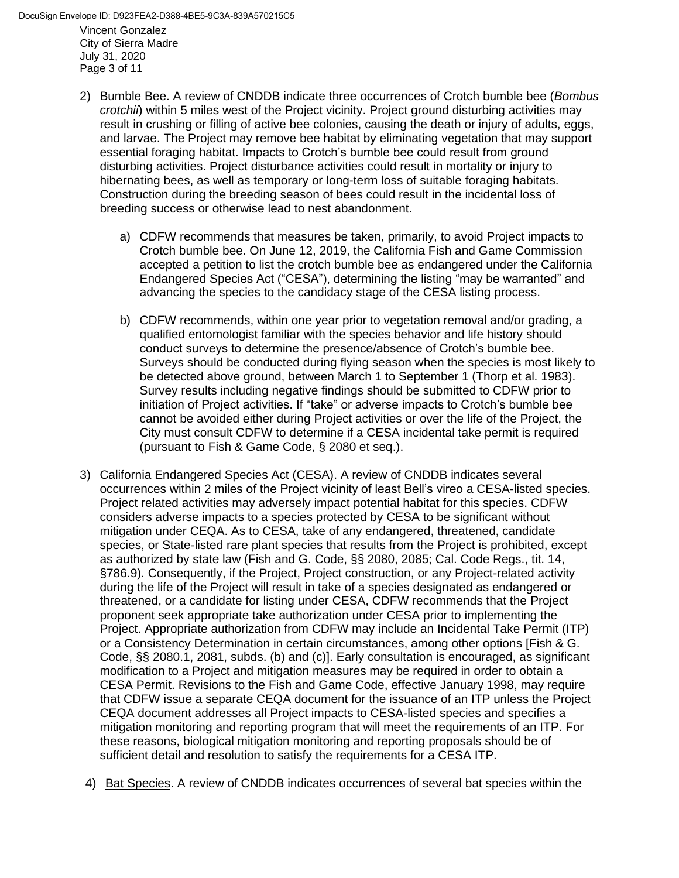Vincent Gonzalez City of Sierra Madre July 31, 2020 Page 3 of 11 DocuSign Envelope ID: D923FEA2-D388-4BE5-9C3A-839A570215C5

- 2) Bumble Bee. A review of CNDDB indicate three occurrences of Crotch bumble bee (*Bombus crotchii*) within 5 miles west of the Project vicinity. Project ground disturbing activities may result in crushing or filling of active bee colonies, causing the death or injury of adults, eggs, and larvae. The Project may remove bee habitat by eliminating vegetation that may support essential foraging habitat. Impacts to Crotch's bumble bee could result from ground disturbing activities. Project disturbance activities could result in mortality or injury to hibernating bees, as well as temporary or long-term loss of suitable foraging habitats. Construction during the breeding season of bees could result in the incidental loss of breeding success or otherwise lead to nest abandonment.
	- a) CDFW recommends that measures be taken, primarily, to avoid Project impacts to Crotch bumble bee. On June 12, 2019, the California Fish and Game Commission accepted a petition to list the crotch bumble bee as endangered under the California Endangered Species Act ("CESA"), determining the listing "may be warranted" and advancing the species to the candidacy stage of the CESA listing process.
	- b) CDFW recommends, within one year prior to vegetation removal and/or grading, a qualified entomologist familiar with the species behavior and life history should conduct surveys to determine the presence/absence of Crotch's bumble bee. Surveys should be conducted during flying season when the species is most likely to be detected above ground, between March 1 to September 1 (Thorp et al. 1983). Survey results including negative findings should be submitted to CDFW prior to initiation of Project activities. If "take" or adverse impacts to Crotch's bumble bee cannot be avoided either during Project activities or over the life of the Project, the City must consult CDFW to determine if a CESA incidental take permit is required (pursuant to Fish & Game Code, § 2080 et seq.).
- 3) California Endangered Species Act (CESA). A review of CNDDB indicates several occurrences within 2 miles of the Project vicinity of least Bell's vireo a CESA-listed species. Project related activities may adversely impact potential habitat for this species. CDFW considers adverse impacts to a species protected by CESA to be significant without mitigation under CEQA. As to CESA, take of any endangered, threatened, candidate species, or State-listed rare plant species that results from the Project is prohibited, except as authorized by state law (Fish and G. Code, §§ 2080, 2085; Cal. Code Regs., tit. 14, §786.9). Consequently, if the Project, Project construction, or any Project-related activity during the life of the Project will result in take of a species designated as endangered or threatened, or a candidate for listing under CESA, CDFW recommends that the Project proponent seek appropriate take authorization under CESA prior to implementing the Project. Appropriate authorization from CDFW may include an Incidental Take Permit (ITP) or a Consistency Determination in certain circumstances, among other options [Fish & G. Code, §§ 2080.1, 2081, subds. (b) and (c)]. Early consultation is encouraged, as significant modification to a Project and mitigation measures may be required in order to obtain a CESA Permit. Revisions to the Fish and Game Code, effective January 1998, may require that CDFW issue a separate CEQA document for the issuance of an ITP unless the Project CEQA document addresses all Project impacts to CESA-listed species and specifies a mitigation monitoring and reporting program that will meet the requirements of an ITP. For these reasons, biological mitigation monitoring and reporting proposals should be of sufficient detail and resolution to satisfy the requirements for a CESA ITP.
- 4) Bat Species. A review of CNDDB indicates occurrences of several bat species within the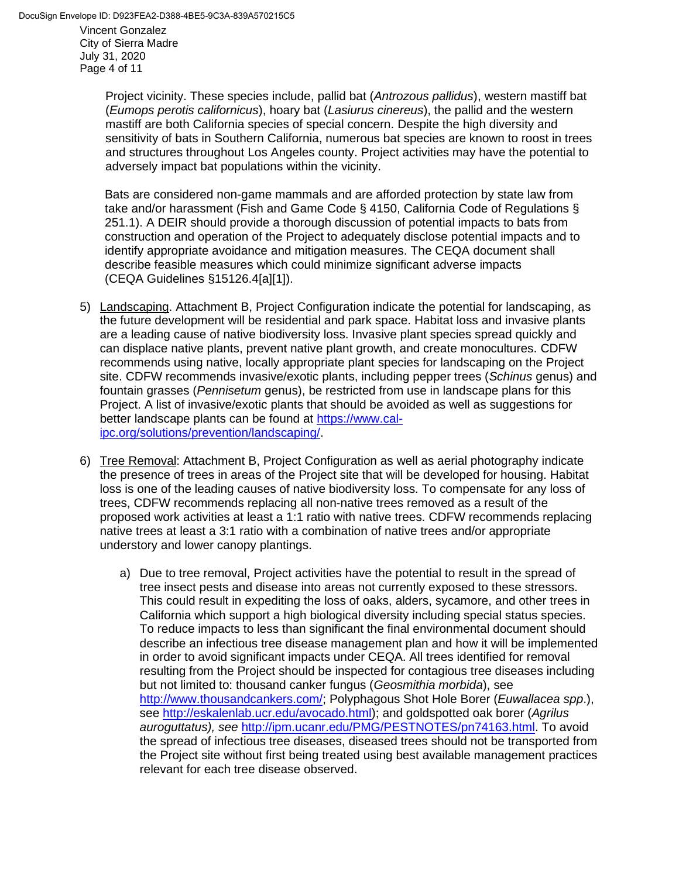July 31, 2020 Page 4 of 11

> Project vicinity. These species include, pallid bat (*Antrozous pallidus*), western mastiff bat (*Eumops perotis californicus*), hoary bat (*Lasiurus cinereus*), the pallid and the western mastiff are both California species of special concern. Despite the high diversity and sensitivity of bats in Southern California, numerous bat species are known to roost in trees and structures throughout Los Angeles county. Project activities may have the potential to adversely impact bat populations within the vicinity.

Bats are considered non-game mammals and are afforded protection by state law from take and/or harassment (Fish and Game Code § 4150, California Code of Regulations § 251.1). A DEIR should provide a thorough discussion of potential impacts to bats from construction and operation of the Project to adequately disclose potential impacts and to identify appropriate avoidance and mitigation measures. The CEQA document shall describe feasible measures which could minimize significant adverse impacts (CEQA Guidelines §15126.4[a][1]).

- 5) Landscaping. Attachment B, Project Configuration indicate the potential for landscaping, as the future development will be residential and park space. Habitat loss and invasive plants are a leading cause of native biodiversity loss. Invasive plant species spread quickly and can displace native plants, prevent native plant growth, and create monocultures. CDFW recommends using native, locally appropriate plant species for landscaping on the Project site. CDFW recommends invasive/exotic plants, including pepper trees (*Schinus* genus) and fountain grasses (*Pennisetum* genus), be restricted from use in landscape plans for this Project. A list of invasive/exotic plants that should be avoided as well as suggestions for better landscape plants can be found at [https://www.cal](https://www.cal-ipc.org/solutions/prevention/landscaping/)[ipc.org/solutions/prevention/landscaping/.](https://www.cal-ipc.org/solutions/prevention/landscaping/)
- 6) Tree Removal: Attachment B, Project Configuration as well as aerial photography indicate the presence of trees in areas of the Project site that will be developed for housing. Habitat loss is one of the leading causes of native biodiversity loss. To compensate for any loss of trees, CDFW recommends replacing all non-native trees removed as a result of the proposed work activities at least a 1:1 ratio with native trees. CDFW recommends replacing native trees at least a 3:1 ratio with a combination of native trees and/or appropriate understory and lower canopy plantings.
	- a) Due to tree removal, Project activities have the potential to result in the spread of tree insect pests and disease into areas not currently exposed to these stressors. This could result in expediting the loss of oaks, alders, sycamore, and other trees in California which support a high biological diversity including special status species. To reduce impacts to less than significant the final environmental document should describe an infectious tree disease management plan and how it will be implemented in order to avoid significant impacts under CEQA. All trees identified for removal resulting from the Project should be inspected for contagious tree diseases including but not limited to: thousand canker fungus (*Geosmithia morbida*), see [http://www.thousandcankers.com/;](http://www.thousandcankers.com/) Polyphagous Shot Hole Borer (*Euwallacea spp*.), see [http://eskalenlab.ucr.edu/avocado.html\)](http://eskalenlab.ucr.edu/avocado.html); and goldspotted oak borer (*Agrilus auroguttatus), see* [http://ipm.ucanr.edu/PMG/PESTNOTES/pn74163.html.](http://ipm.ucanr.edu/PMG/PESTNOTES/pn74163.html) To avoid the spread of infectious tree diseases, diseased trees should not be transported from the Project site without first being treated using best available management practices relevant for each tree disease observed.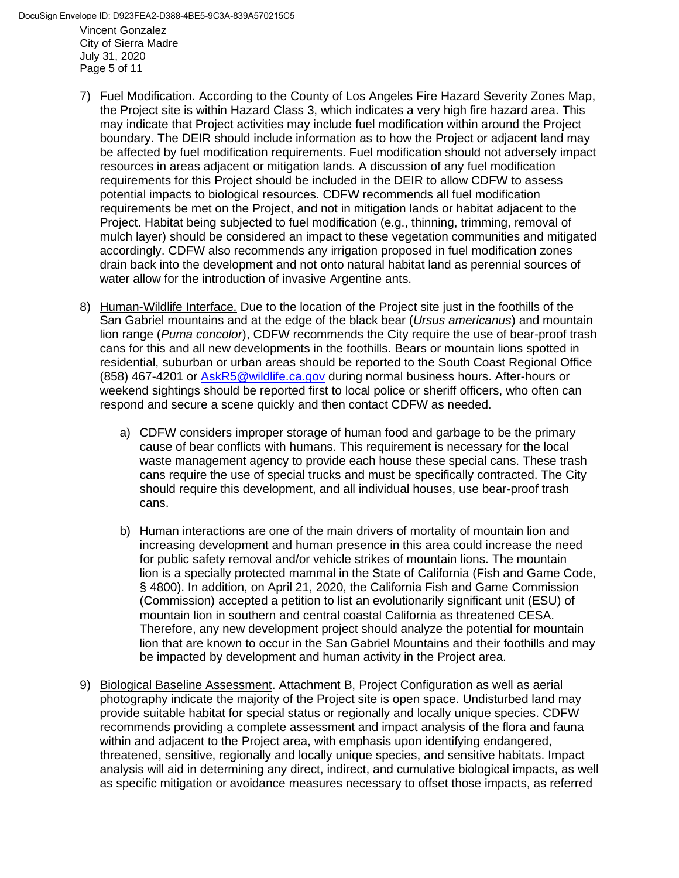Vincent Gonzalez City of Sierra Madre July 31, 2020 Page 5 of 11 DocuSign Envelope ID: D923FEA2-D388-4BE5-9C3A-839A570215C5

- 7) Fuel Modification. According to the County of Los Angeles Fire Hazard Severity Zones Map, the Project site is within Hazard Class 3, which indicates a very high fire hazard area. This may indicate that Project activities may include fuel modification within around the Project boundary. The DEIR should include information as to how the Project or adjacent land may be affected by fuel modification requirements. Fuel modification should not adversely impact resources in areas adjacent or mitigation lands. A discussion of any fuel modification requirements for this Project should be included in the DEIR to allow CDFW to assess potential impacts to biological resources. CDFW recommends all fuel modification requirements be met on the Project, and not in mitigation lands or habitat adjacent to the Project. Habitat being subjected to fuel modification (e.g., thinning, trimming, removal of mulch layer) should be considered an impact to these vegetation communities and mitigated accordingly. CDFW also recommends any irrigation proposed in fuel modification zones drain back into the development and not onto natural habitat land as perennial sources of water allow for the introduction of invasive Argentine ants.
- 8) Human-Wildlife Interface. Due to the location of the Project site just in the foothills of the San Gabriel mountains and at the edge of the black bear (*Ursus americanus*) and mountain lion range (*Puma concolor*), CDFW recommends the City require the use of bear-proof trash cans for this and all new developments in the foothills. Bears or mountain lions spotted in residential, suburban or urban areas should be reported to the South Coast Regional Office (858) 467-4201 or [AskR5@wildlife.ca.gov](mailto:AskR5@wildlife.ca.gov) during normal business hours. After-hours or weekend sightings should be reported first to local police or sheriff officers, who often can respond and secure a scene quickly and then contact CDFW as needed.
	- a) CDFW considers improper storage of human food and garbage to be the primary cause of bear conflicts with humans. This requirement is necessary for the local waste management agency to provide each house these special cans. These trash cans require the use of special trucks and must be specifically contracted. The City should require this development, and all individual houses, use bear-proof trash cans.
	- b) Human interactions are one of the main drivers of mortality of mountain lion and increasing development and human presence in this area could increase the need for public safety removal and/or vehicle strikes of mountain lions. The mountain lion is a specially protected mammal in the State of California (Fish and Game Code, § 4800). In addition, on April 21, 2020, the California Fish and Game Commission (Commission) accepted a petition to list an evolutionarily significant unit (ESU) of mountain lion in southern and central coastal California as threatened CESA. Therefore, any new development project should analyze the potential for mountain lion that are known to occur in the San Gabriel Mountains and their foothills and may be impacted by development and human activity in the Project area.
- 9) Biological Baseline Assessment. Attachment B, Project Configuration as well as aerial photography indicate the majority of the Project site is open space. Undisturbed land may provide suitable habitat for special status or regionally and locally unique species. CDFW recommends providing a complete assessment and impact analysis of the flora and fauna within and adjacent to the Project area, with emphasis upon identifying endangered, threatened, sensitive, regionally and locally unique species, and sensitive habitats. Impact analysis will aid in determining any direct, indirect, and cumulative biological impacts, as well as specific mitigation or avoidance measures necessary to offset those impacts, as referred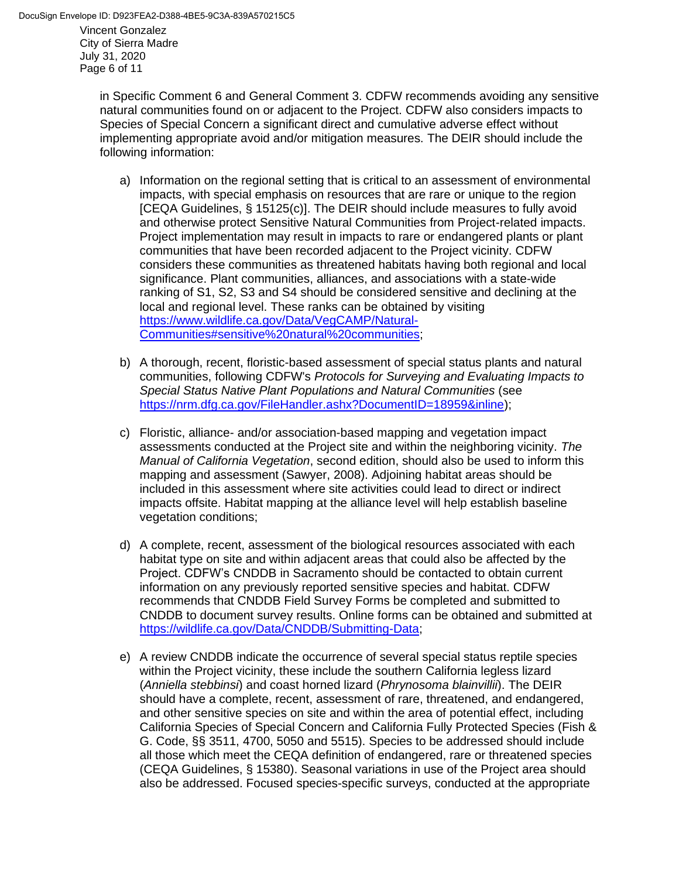in Specific Comment 6 and General Comment 3. CDFW recommends avoiding any sensitive natural communities found on or adjacent to the Project. CDFW also considers impacts to Species of Special Concern a significant direct and cumulative adverse effect without implementing appropriate avoid and/or mitigation measures. The DEIR should include the following information:

- a) Information on the regional setting that is critical to an assessment of environmental impacts, with special emphasis on resources that are rare or unique to the region [CEQA Guidelines, § 15125(c)]. The DEIR should include measures to fully avoid and otherwise protect Sensitive Natural Communities from Project-related impacts. Project implementation may result in impacts to rare or endangered plants or plant communities that have been recorded adjacent to the Project vicinity. CDFW considers these communities as threatened habitats having both regional and local significance. Plant communities, alliances, and associations with a state-wide ranking of S1, S2, S3 and S4 should be considered sensitive and declining at the local and regional level. These ranks can be obtained by visiting [https://www.wildlife.ca.gov/Data/VegCAMP/Natural-](https://www.wildlife.ca.gov/Data/VegCAMP/Natural-Communities#sensitive%20natural%20communities)[Communities#sensitive%20natural%20communities;](https://www.wildlife.ca.gov/Data/VegCAMP/Natural-Communities#sensitive%20natural%20communities)
- b) A thorough, recent, floristic-based assessment of special status plants and natural communities, following CDFW's *Protocols for Surveying and Evaluating Impacts to Special Status Native Plant Populations and Natural Communities* (see [https://nrm.dfg.ca.gov/FileHandler.ashx?DocumentID=18959&inline\)](https://nrm.dfg.ca.gov/FileHandler.ashx?DocumentID=18959&inline);
- c) Floristic, alliance- and/or association-based mapping and vegetation impact assessments conducted at the Project site and within the neighboring vicinity. *The Manual of California Vegetation*, second edition, should also be used to inform this mapping and assessment (Sawyer, 2008). Adjoining habitat areas should be included in this assessment where site activities could lead to direct or indirect impacts offsite. Habitat mapping at the alliance level will help establish baseline vegetation conditions;
- d) A complete, recent, assessment of the biological resources associated with each habitat type on site and within adjacent areas that could also be affected by the Project. CDFW's CNDDB in Sacramento should be contacted to obtain current information on any previously reported sensitive species and habitat. CDFW recommends that CNDDB Field Survey Forms be completed and submitted to CNDDB to document survey results. Online forms can be obtained and submitted at [https://wildlife.ca.gov/Data/CNDDB/Submitting-Data;](https://wildlife.ca.gov/Data/CNDDB/Submitting-Data)
- e) A review CNDDB indicate the occurrence of several special status reptile species within the Project vicinity, these include the southern California legless lizard (*Anniella stebbinsi*) and coast horned lizard (*Phrynosoma blainvillii*). The DEIR should have a complete, recent, assessment of rare, threatened, and endangered, and other sensitive species on site and within the area of potential effect, including California Species of Special Concern and California Fully Protected Species (Fish & G. Code, §§ 3511, 4700, 5050 and 5515). Species to be addressed should include all those which meet the CEQA definition of endangered, rare or threatened species (CEQA Guidelines, § 15380). Seasonal variations in use of the Project area should also be addressed. Focused species-specific surveys, conducted at the appropriate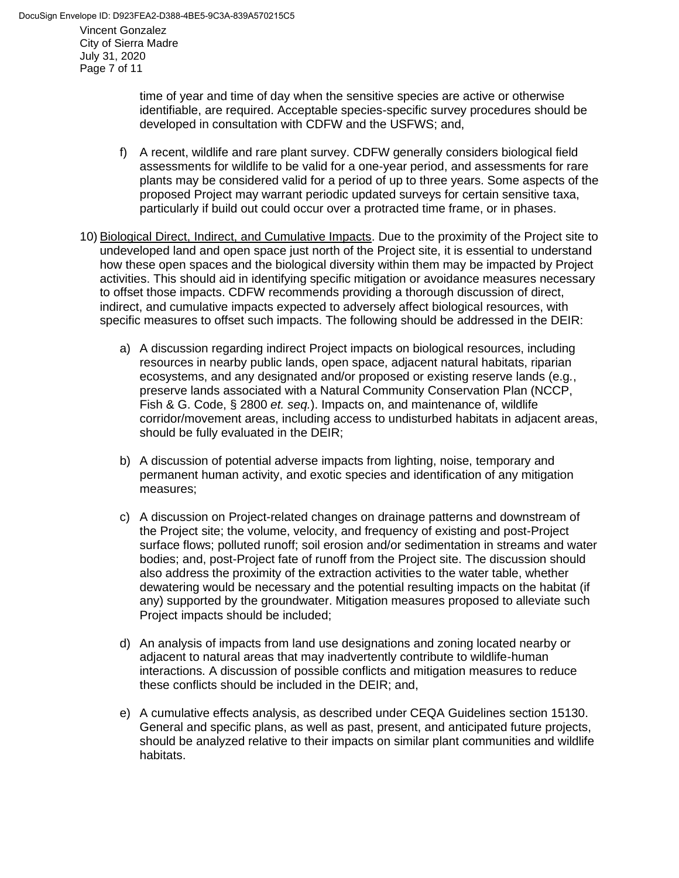time of year and time of day when the sensitive species are active or otherwise identifiable, are required. Acceptable species-specific survey procedures should be developed in consultation with CDFW and the USFWS; and,

- f) A recent, wildlife and rare plant survey. CDFW generally considers biological field assessments for wildlife to be valid for a one-year period, and assessments for rare plants may be considered valid for a period of up to three years. Some aspects of the proposed Project may warrant periodic updated surveys for certain sensitive taxa, particularly if build out could occur over a protracted time frame, or in phases.
- 10) Biological Direct, Indirect, and Cumulative Impacts. Due to the proximity of the Project site to undeveloped land and open space just north of the Project site, it is essential to understand how these open spaces and the biological diversity within them may be impacted by Project activities. This should aid in identifying specific mitigation or avoidance measures necessary to offset those impacts. CDFW recommends providing a thorough discussion of direct, indirect, and cumulative impacts expected to adversely affect biological resources, with specific measures to offset such impacts. The following should be addressed in the DEIR:
	- a) A discussion regarding indirect Project impacts on biological resources, including resources in nearby public lands, open space, adjacent natural habitats, riparian ecosystems, and any designated and/or proposed or existing reserve lands (e.g*.*, preserve lands associated with a Natural Community Conservation Plan (NCCP, Fish & G. Code, § 2800 *et. seq.*). Impacts on, and maintenance of, wildlife corridor/movement areas, including access to undisturbed habitats in adjacent areas, should be fully evaluated in the DEIR;
	- b) A discussion of potential adverse impacts from lighting, noise, temporary and permanent human activity, and exotic species and identification of any mitigation measures;
	- c) A discussion on Project-related changes on drainage patterns and downstream of the Project site; the volume, velocity, and frequency of existing and post-Project surface flows; polluted runoff; soil erosion and/or sedimentation in streams and water bodies; and, post-Project fate of runoff from the Project site. The discussion should also address the proximity of the extraction activities to the water table, whether dewatering would be necessary and the potential resulting impacts on the habitat (if any) supported by the groundwater. Mitigation measures proposed to alleviate such Project impacts should be included;
	- d) An analysis of impacts from land use designations and zoning located nearby or adjacent to natural areas that may inadvertently contribute to wildlife-human interactions. A discussion of possible conflicts and mitigation measures to reduce these conflicts should be included in the DEIR; and,
	- e) A cumulative effects analysis, as described under CEQA Guidelines section 15130. General and specific plans, as well as past, present, and anticipated future projects, should be analyzed relative to their impacts on similar plant communities and wildlife habitats.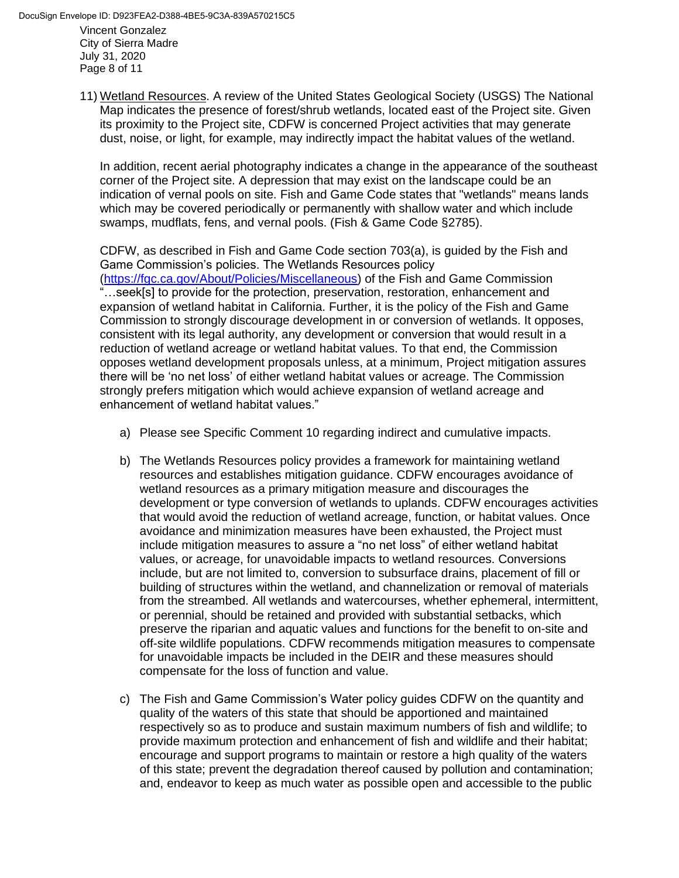Vincent Gonzalez City of Sierra Madre July 31, 2020 Page 8 of 11 DocuSign Envelope ID: D923FEA2-D388-4BE5-9C3A-839A570215C5

> 11) Wetland Resources. A review of the United States Geological Society (USGS) The National Map indicates the presence of forest/shrub wetlands, located east of the Project site. Given its proximity to the Project site, CDFW is concerned Project activities that may generate dust, noise, or light, for example, may indirectly impact the habitat values of the wetland.

In addition, recent aerial photography indicates a change in the appearance of the southeast corner of the Project site. A depression that may exist on the landscape could be an indication of vernal pools on site. Fish and Game Code states that "wetlands" means lands which may be covered periodically or permanently with shallow water and which include swamps, mudflats, fens, and vernal pools. (Fish & Game Code §2785).

CDFW, as described in Fish and Game Code section 703(a), is guided by the Fish and Game Commission's policies. The Wetlands Resources policy [\(https://fgc.ca.gov/About/Policies/Miscellaneous\)](https://fgc.ca.gov/About/Policies/Miscellaneous) of the Fish and Game Commission "…seek[s] to provide for the protection, preservation, restoration, enhancement and expansion of wetland habitat in California. Further, it is the policy of the Fish and Game Commission to strongly discourage development in or conversion of wetlands. It opposes, consistent with its legal authority, any development or conversion that would result in a reduction of wetland acreage or wetland habitat values. To that end, the Commission opposes wetland development proposals unless, at a minimum, Project mitigation assures there will be 'no net loss' of either wetland habitat values or acreage. The Commission strongly prefers mitigation which would achieve expansion of wetland acreage and enhancement of wetland habitat values."

- a) Please see Specific Comment 10 regarding indirect and cumulative impacts.
- b) The Wetlands Resources policy provides a framework for maintaining wetland resources and establishes mitigation guidance. CDFW encourages avoidance of wetland resources as a primary mitigation measure and discourages the development or type conversion of wetlands to uplands. CDFW encourages activities that would avoid the reduction of wetland acreage, function, or habitat values. Once avoidance and minimization measures have been exhausted, the Project must include mitigation measures to assure a "no net loss" of either wetland habitat values, or acreage, for unavoidable impacts to wetland resources. Conversions include, but are not limited to, conversion to subsurface drains, placement of fill or building of structures within the wetland, and channelization or removal of materials from the streambed. All wetlands and watercourses, whether ephemeral, intermittent, or perennial, should be retained and provided with substantial setbacks, which preserve the riparian and aquatic values and functions for the benefit to on-site and off-site wildlife populations. CDFW recommends mitigation measures to compensate for unavoidable impacts be included in the DEIR and these measures should compensate for the loss of function and value.
- c) The Fish and Game Commission's Water policy guides CDFW on the quantity and quality of the waters of this state that should be apportioned and maintained respectively so as to produce and sustain maximum numbers of fish and wildlife; to provide maximum protection and enhancement of fish and wildlife and their habitat; encourage and support programs to maintain or restore a high quality of the waters of this state; prevent the degradation thereof caused by pollution and contamination; and, endeavor to keep as much water as possible open and accessible to the public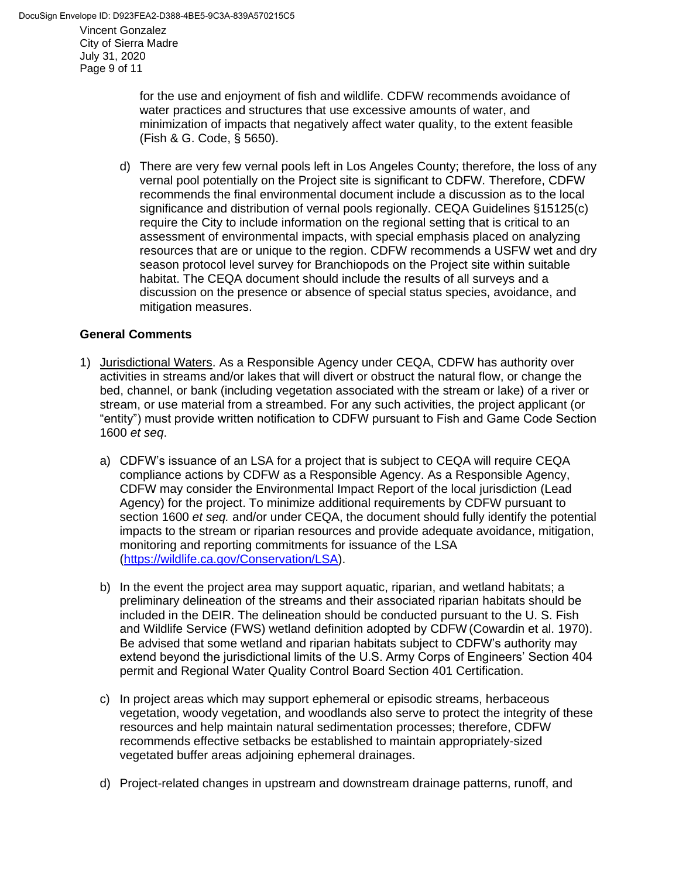for the use and enjoyment of fish and wildlife. CDFW recommends avoidance of water practices and structures that use excessive amounts of water, and minimization of impacts that negatively affect water quality, to the extent feasible (Fish & G. Code, § 5650).

d) There are very few vernal pools left in Los Angeles County; therefore, the loss of any vernal pool potentially on the Project site is significant to CDFW. Therefore, CDFW recommends the final environmental document include a discussion as to the local significance and distribution of vernal pools regionally. CEQA Guidelines §15125(c) require the City to include information on the regional setting that is critical to an assessment of environmental impacts, with special emphasis placed on analyzing resources that are or unique to the region. CDFW recommends a USFW wet and dry season protocol level survey for Branchiopods on the Project site within suitable habitat. The CEQA document should include the results of all surveys and a discussion on the presence or absence of special status species, avoidance, and mitigation measures.

### **General Comments**

- 1) Jurisdictional Waters. As a Responsible Agency under CEQA, CDFW has authority over activities in streams and/or lakes that will divert or obstruct the natural flow, or change the bed, channel, or bank (including vegetation associated with the stream or lake) of a river or stream, or use material from a streambed. For any such activities, the project applicant (or "entity") must provide written notification to CDFW pursuant to Fish and Game Code Section 1600 *et seq*.
	- a) CDFW's issuance of an LSA for a project that is subject to CEQA will require CEQA compliance actions by CDFW as a Responsible Agency. As a Responsible Agency, CDFW may consider the Environmental Impact Report of the local jurisdiction (Lead Agency) for the project. To minimize additional requirements by CDFW pursuant to section 1600 *et seq.* and/or under CEQA, the document should fully identify the potential impacts to the stream or riparian resources and provide adequate avoidance, mitigation, monitoring and reporting commitments for issuance of the LSA [\(https://wildlife.ca.gov/Conservation/LSA\)](https://wildlife.ca.gov/Conservation/LSA).
	- b) In the event the project area may support aquatic, riparian, and wetland habitats; a preliminary delineation of the streams and their associated riparian habitats should be included in the DEIR. The delineation should be conducted pursuant to the U. S. Fish and Wildlife Service (FWS) wetland definition adopted by CDFW (Cowardin et al. 1970). Be advised that some wetland and riparian habitats subject to CDFW's authority may extend beyond the jurisdictional limits of the U.S. Army Corps of Engineers' Section 404 permit and Regional Water Quality Control Board Section 401 Certification.
	- c) In project areas which may support ephemeral or episodic streams, herbaceous vegetation, woody vegetation, and woodlands also serve to protect the integrity of these resources and help maintain natural sedimentation processes; therefore, CDFW recommends effective setbacks be established to maintain appropriately-sized vegetated buffer areas adjoining ephemeral drainages.
	- d) Project-related changes in upstream and downstream drainage patterns, runoff, and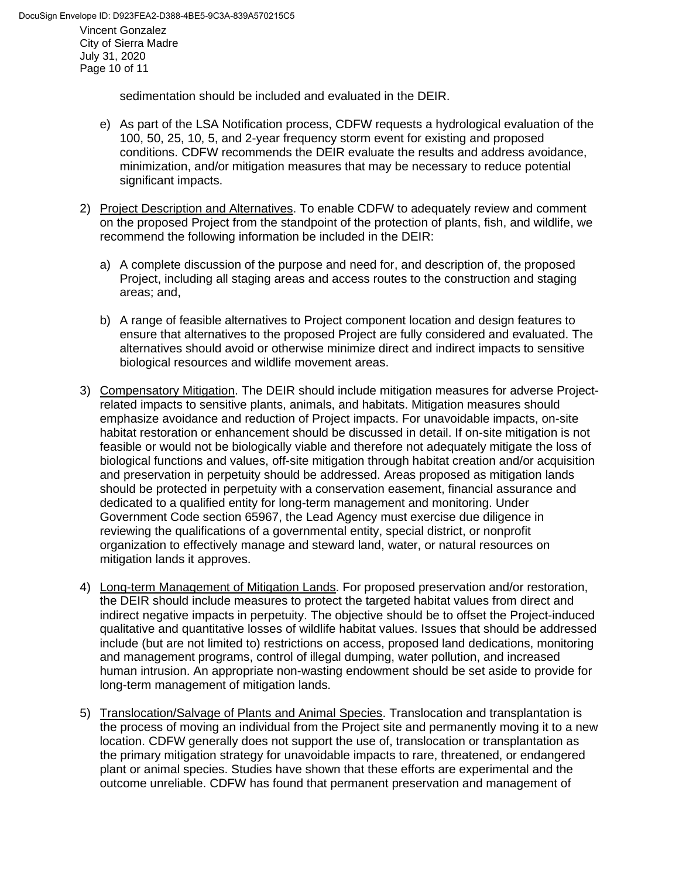sedimentation should be included and evaluated in the DEIR.

- e) As part of the LSA Notification process, CDFW requests a hydrological evaluation of the 100, 50, 25, 10, 5, and 2-year frequency storm event for existing and proposed conditions. CDFW recommends the DEIR evaluate the results and address avoidance, minimization, and/or mitigation measures that may be necessary to reduce potential significant impacts.
- 2) Project Description and Alternatives. To enable CDFW to adequately review and comment on the proposed Project from the standpoint of the protection of plants, fish, and wildlife, we recommend the following information be included in the DEIR:
	- a) A complete discussion of the purpose and need for, and description of, the proposed Project, including all staging areas and access routes to the construction and staging areas; and,
	- b) A range of feasible alternatives to Project component location and design features to ensure that alternatives to the proposed Project are fully considered and evaluated. The alternatives should avoid or otherwise minimize direct and indirect impacts to sensitive biological resources and wildlife movement areas.
- 3) Compensatory Mitigation. The DEIR should include mitigation measures for adverse Projectrelated impacts to sensitive plants, animals, and habitats. Mitigation measures should emphasize avoidance and reduction of Project impacts. For unavoidable impacts, on-site habitat restoration or enhancement should be discussed in detail. If on-site mitigation is not feasible or would not be biologically viable and therefore not adequately mitigate the loss of biological functions and values, off-site mitigation through habitat creation and/or acquisition and preservation in perpetuity should be addressed. Areas proposed as mitigation lands should be protected in perpetuity with a conservation easement, financial assurance and dedicated to a qualified entity for long-term management and monitoring. Under Government Code section 65967, the Lead Agency must exercise due diligence in reviewing the qualifications of a governmental entity, special district, or nonprofit organization to effectively manage and steward land, water, or natural resources on mitigation lands it approves.
- 4) Long-term Management of Mitigation Lands. For proposed preservation and/or restoration, the DEIR should include measures to protect the targeted habitat values from direct and indirect negative impacts in perpetuity. The objective should be to offset the Project-induced qualitative and quantitative losses of wildlife habitat values. Issues that should be addressed include (but are not limited to) restrictions on access, proposed land dedications, monitoring and management programs, control of illegal dumping, water pollution, and increased human intrusion. An appropriate non-wasting endowment should be set aside to provide for long-term management of mitigation lands.
- 5) Translocation/Salvage of Plants and Animal Species. Translocation and transplantation is the process of moving an individual from the Project site and permanently moving it to a new location. CDFW generally does not support the use of, translocation or transplantation as the primary mitigation strategy for unavoidable impacts to rare, threatened, or endangered plant or animal species. Studies have shown that these efforts are experimental and the outcome unreliable. CDFW has found that permanent preservation and management of